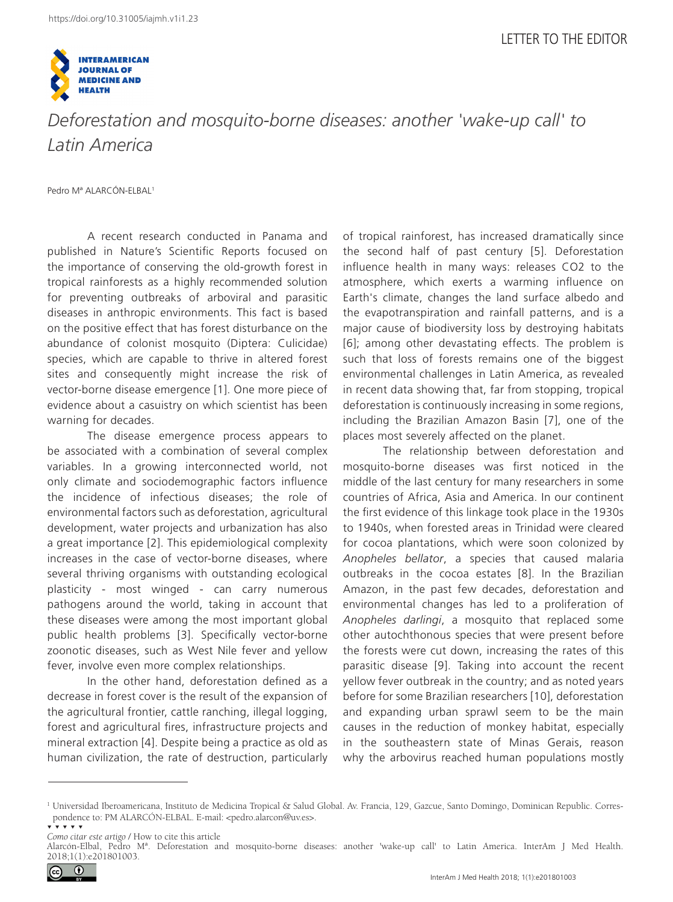

*Deforestation and mosquito-borne diseases: another 'wake-up call' to Latin America*

Pedro Mª ALARCÓN-ELBAL1

A recent research conducted in Panama and published in Nature's Scientific Reports focused on the importance of conserving the old-growth forest in tropical rainforests as a highly recommended solution for preventing outbreaks of arboviral and parasitic diseases in anthropic environments. This fact is based on the positive effect that has forest disturbance on the abundance of colonist mosquito (Diptera: Culicidae) species, which are capable to thrive in altered forest sites and consequently might increase the risk of vector-borne disease emergence [1]. One more piece of evidence about a casuistry on which scientist has been warning for decades.

The disease emergence process appears to be associated with a combination of several complex variables. In a growing interconnected world, not only climate and sociodemographic factors influence the incidence of infectious diseases; the role of environmental factors such as deforestation, agricultural development, water projects and urbanization has also a great importance [2]. This epidemiological complexity increases in the case of vector-borne diseases, where several thriving organisms with outstanding ecological plasticity - most winged - can carry numerous pathogens around the world, taking in account that these diseases were among the most important global public health problems [3]. Specifically vector-borne zoonotic diseases, such as West Nile fever and yellow fever, involve even more complex relationships.

In the other hand, deforestation defined as a decrease in forest cover is the result of the expansion of the agricultural frontier, cattle ranching, illegal logging, forest and agricultural fires, infrastructure projects and mineral extraction [4]. Despite being a practice as old as human civilization, the rate of destruction, particularly of tropical rainforest, has increased dramatically since the second half of past century [5]. Deforestation influence health in many ways: releases CO2 to the atmosphere, which exerts a warming influence on Earth's climate, changes the land surface albedo and the evapotranspiration and rainfall patterns, and is a major cause of biodiversity loss by destroying habitats [6]; among other devastating effects. The problem is such that loss of forests remains one of the biggest environmental challenges in Latin America, as revealed in recent data showing that, far from stopping, tropical deforestation is continuously increasing in some regions, including the Brazilian Amazon Basin [7], one of the places most severely affected on the planet.

The relationship between deforestation and mosquito-borne diseases was first noticed in the middle of the last century for many researchers in some countries of Africa, Asia and America. In our continent the first evidence of this linkage took place in the 1930s to 1940s, when forested areas in Trinidad were cleared for cocoa plantations, which were soon colonized by *Anopheles bellator*, a species that caused malaria outbreaks in the cocoa estates [8]. In the Brazilian Amazon, in the past few decades, deforestation and environmental changes has led to a proliferation of *Anopheles darlingi*, a mosquito that replaced some other autochthonous species that were present before the forests were cut down, increasing the rates of this parasitic disease [9]. Taking into account the recent yellow fever outbreak in the country; and as noted years before for some Brazilian researchers [10], deforestation and expanding urban sprawl seem to be the main causes in the reduction of monkey habitat, especially in the southeastern state of Minas Gerais, reason why the arbovirus reached human populations mostly

Alarcón-Elbal, Pedro Mª. Deforestation and mosquito-borne diseases: another 'wake-up call' to Latin America. InterAm J Med Health. 2018;1(1):e201801003.



<sup>&</sup>lt;sup>1</sup> Universidad Iberoamericana, Instituto de Medicina Tropical & Salud Global. Av. Francia, 129, Gazcue, Santo Domingo, Dominican Republic. Correspondence to: PM ALARCÓN-ELBAL. E-mail: <pedro.alarcon@uv.es>. ▼ ▼ ▼ ▼ ▼

*Como citar este artigo* / How to cite this article